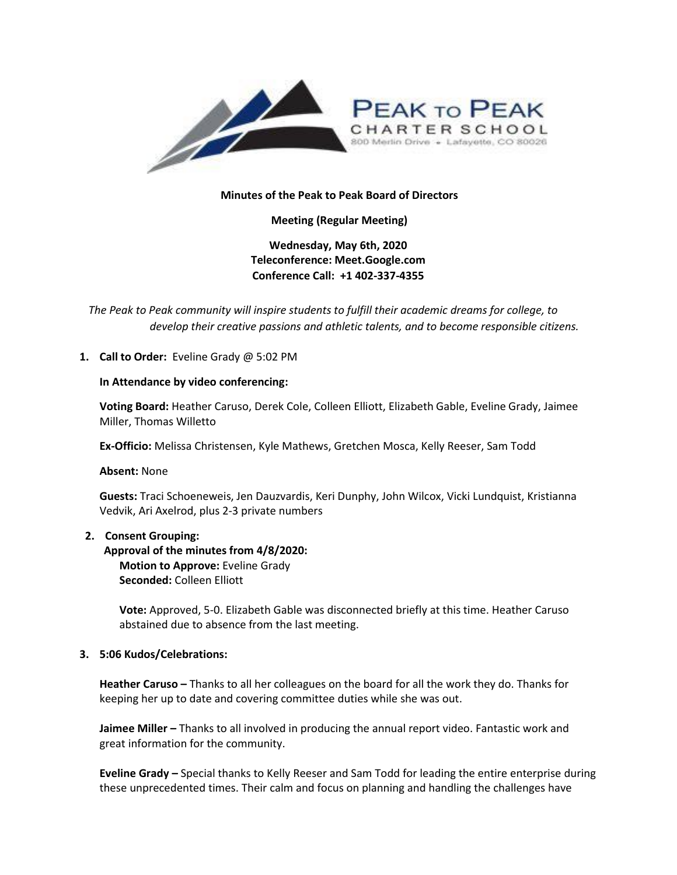

### **Minutes of the Peak to Peak Board of Directors**

**Meeting (Regular Meeting)**

**Wednesday, May 6th, 2020 Teleconference: Meet.Google.com Conference Call: +1 402-337-4355** 

*The Peak to Peak community will inspire students to fulfill their academic dreams for college, to develop their creative passions and athletic talents, and to become responsible citizens.*

### **1. Call to Order:** Eveline Grady @ 5:02 PM

#### **In Attendance by video conferencing:**

**Voting Board:** Heather Caruso, Derek Cole, Colleen Elliott, Elizabeth Gable, Eveline Grady, Jaimee Miller, Thomas Willetto

**Ex-Officio:** Melissa Christensen, Kyle Mathews, Gretchen Mosca, Kelly Reeser, Sam Todd

**Absent:** None

**Guests:** Traci Schoeneweis, Jen Dauzvardis, Keri Dunphy, John Wilcox, Vicki Lundquist, Kristianna Vedvik, Ari Axelrod, plus 2-3 private numbers

#### **2. Consent Grouping:**

**Approval of the minutes from 4/8/2020: Motion to Approve:** Eveline Grady **Seconded:** Colleen Elliott

**Vote:** Approved, 5-0. Elizabeth Gable was disconnected briefly at this time. Heather Caruso abstained due to absence from the last meeting.

#### **3. 5:06 Kudos/Celebrations:**

**Heather Caruso –** Thanks to all her colleagues on the board for all the work they do. Thanks for keeping her up to date and covering committee duties while she was out.

**Jaimee Miller –** Thanks to all involved in producing the annual report video. Fantastic work and great information for the community.

**Eveline Grady –** Special thanks to Kelly Reeser and Sam Todd for leading the entire enterprise during these unprecedented times. Their calm and focus on planning and handling the challenges have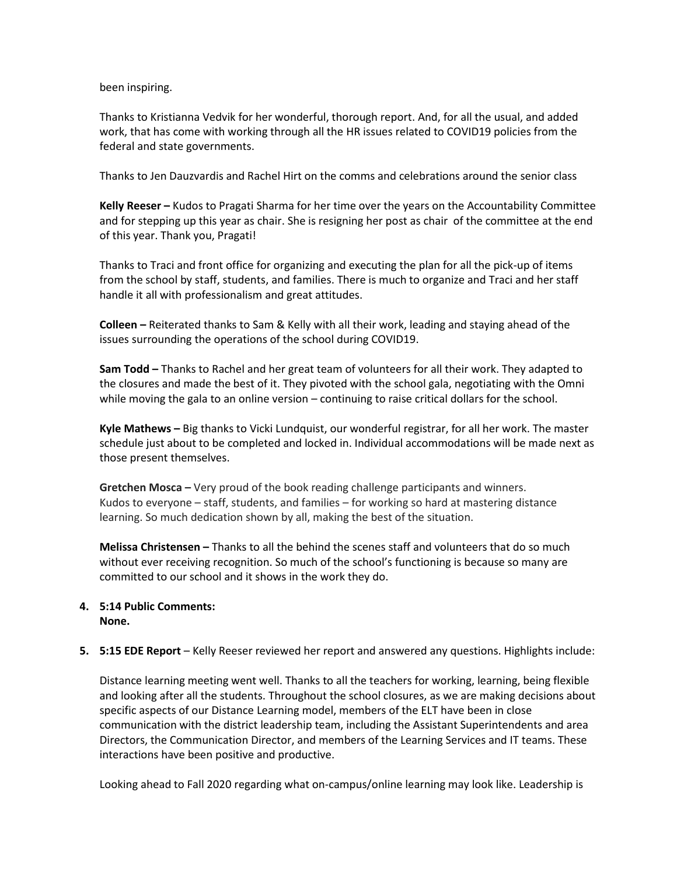been inspiring.

Thanks to Kristianna Vedvik for her wonderful, thorough report. And, for all the usual, and added work, that has come with working through all the HR issues related to COVID19 policies from the federal and state governments.

Thanks to Jen Dauzvardis and Rachel Hirt on the comms and celebrations around the senior class

**Kelly Reeser –** Kudos to Pragati Sharma for her time over the years on the Accountability Committee and for stepping up this year as chair. She is resigning her post as chair of the committee at the end of this year. Thank you, Pragati!

Thanks to Traci and front office for organizing and executing the plan for all the pick-up of items from the school by staff, students, and families. There is much to organize and Traci and her staff handle it all with professionalism and great attitudes.

**Colleen –** Reiterated thanks to Sam & Kelly with all their work, leading and staying ahead of the issues surrounding the operations of the school during COVID19.

**Sam Todd –** Thanks to Rachel and her great team of volunteers for all their work. They adapted to the closures and made the best of it. They pivoted with the school gala, negotiating with the Omni while moving the gala to an online version – continuing to raise critical dollars for the school.

**Kyle Mathews –** Big thanks to Vicki Lundquist, our wonderful registrar, for all her work. The master schedule just about to be completed and locked in. Individual accommodations will be made next as those present themselves.

**Gretchen Mosca –** Very proud of the book reading challenge participants and winners. Kudos to everyone – staff, students, and families – for working so hard at mastering distance learning. So much dedication shown by all, making the best of the situation.

**Melissa Christensen –** Thanks to all the behind the scenes staff and volunteers that do so much without ever receiving recognition. So much of the school's functioning is because so many are committed to our school and it shows in the work they do.

#### **4. 5:14 Public Comments: None.**

## **5. 5:15 EDE Report** – Kelly Reeser reviewed her report and answered any questions. Highlights include:

Distance learning meeting went well. Thanks to all the teachers for working, learning, being flexible and looking after all the students. Throughout the school closures, as we are making decisions about specific aspects of our Distance Learning model, members of the ELT have been in close communication with the district leadership team, including the Assistant Superintendents and area Directors, the Communication Director, and members of the Learning Services and IT teams. These interactions have been positive and productive.

Looking ahead to Fall 2020 regarding what on-campus/online learning may look like. Leadership is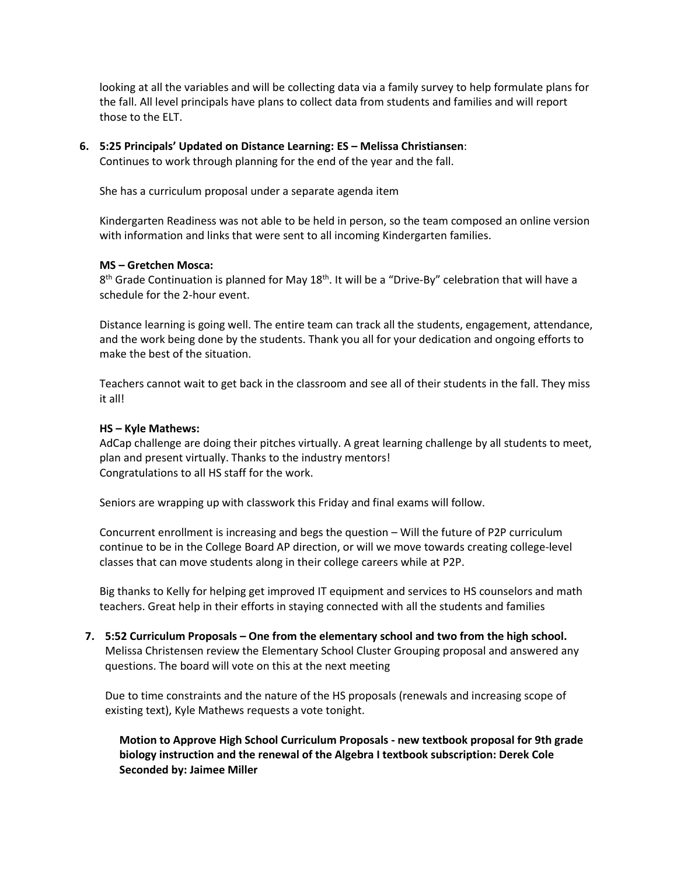looking at all the variables and will be collecting data via a family survey to help formulate plans for the fall. All level principals have plans to collect data from students and families and will report those to the ELT.

## **6. 5:25 Principals' Updated on Distance Learning: ES – Melissa Christiansen**:

Continues to work through planning for the end of the year and the fall.

She has a curriculum proposal under a separate agenda item

Kindergarten Readiness was not able to be held in person, so the team composed an online version with information and links that were sent to all incoming Kindergarten families.

### **MS – Gretchen Mosca:**

8<sup>th</sup> Grade Continuation is planned for May 18<sup>th</sup>. It will be a "Drive-By" celebration that will have a schedule for the 2-hour event.

Distance learning is going well. The entire team can track all the students, engagement, attendance, and the work being done by the students. Thank you all for your dedication and ongoing efforts to make the best of the situation.

Teachers cannot wait to get back in the classroom and see all of their students in the fall. They miss it all!

### **HS – Kyle Mathews:**

AdCap challenge are doing their pitches virtually. A great learning challenge by all students to meet, plan and present virtually. Thanks to the industry mentors! Congratulations to all HS staff for the work.

Seniors are wrapping up with classwork this Friday and final exams will follow.

Concurrent enrollment is increasing and begs the question – Will the future of P2P curriculum continue to be in the College Board AP direction, or will we move towards creating college-level classes that can move students along in their college careers while at P2P.

Big thanks to Kelly for helping get improved IT equipment and services to HS counselors and math teachers. Great help in their efforts in staying connected with all the students and families

**7. 5:52 Curriculum Proposals – One from the elementary school and two from the high school.**  Melissa Christensen review the Elementary School Cluster Grouping proposal and answered any questions. The board will vote on this at the next meeting

Due to time constraints and the nature of the HS proposals (renewals and increasing scope of existing text), Kyle Mathews requests a vote tonight.

**Motion to Approve High School Curriculum Proposals - new textbook proposal for 9th grade biology instruction and the renewal of the Algebra I textbook subscription: Derek Cole Seconded by: Jaimee Miller**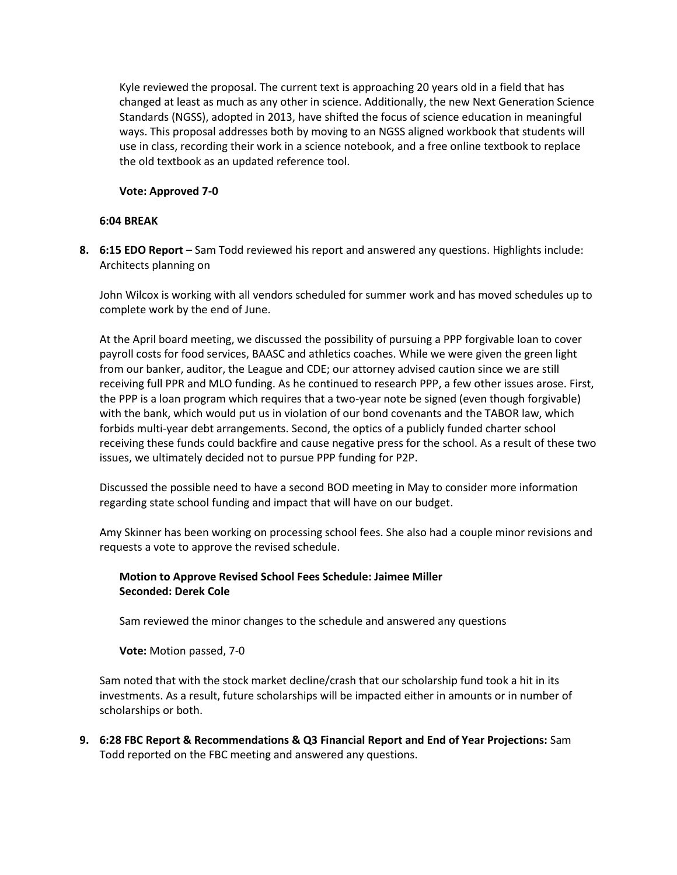Kyle reviewed the proposal. The current text is approaching 20 years old in a field that has changed at least as much as any other in science. Additionally, the new Next Generation Science Standards (NGSS), adopted in 2013, have shifted the focus of science education in meaningful ways. This proposal addresses both by moving to an NGSS aligned workbook that students will use in class, recording their work in a science notebook, and a free online textbook to replace the old textbook as an updated reference tool.

## **Vote: Approved 7-0**

## **6:04 BREAK**

**8. 6:15 EDO Report** – Sam Todd reviewed his report and answered any questions. Highlights include: Architects planning on

John Wilcox is working with all vendors scheduled for summer work and has moved schedules up to complete work by the end of June.

At the April board meeting, we discussed the possibility of pursuing a PPP forgivable loan to cover payroll costs for food services, BAASC and athletics coaches. While we were given the green light from our banker, auditor, the League and CDE; our attorney advised caution since we are still receiving full PPR and MLO funding. As he continued to research PPP, a few other issues arose. First, the PPP is a loan program which requires that a two-year note be signed (even though forgivable) with the bank, which would put us in violation of our bond covenants and the TABOR law, which forbids multi-year debt arrangements. Second, the optics of a publicly funded charter school receiving these funds could backfire and cause negative press for the school. As a result of these two issues, we ultimately decided not to pursue PPP funding for P2P.

Discussed the possible need to have a second BOD meeting in May to consider more information regarding state school funding and impact that will have on our budget.

Amy Skinner has been working on processing school fees. She also had a couple minor revisions and requests a vote to approve the revised schedule.

# **Motion to Approve Revised School Fees Schedule: Jaimee Miller Seconded: Derek Cole**

Sam reviewed the minor changes to the schedule and answered any questions

**Vote:** Motion passed, 7-0

Sam noted that with the stock market decline/crash that our scholarship fund took a hit in its investments. As a result, future scholarships will be impacted either in amounts or in number of scholarships or both.

**9. 6:28 FBC Report & Recommendations & Q3 Financial Report and End of Year Projections:** Sam Todd reported on the FBC meeting and answered any questions.